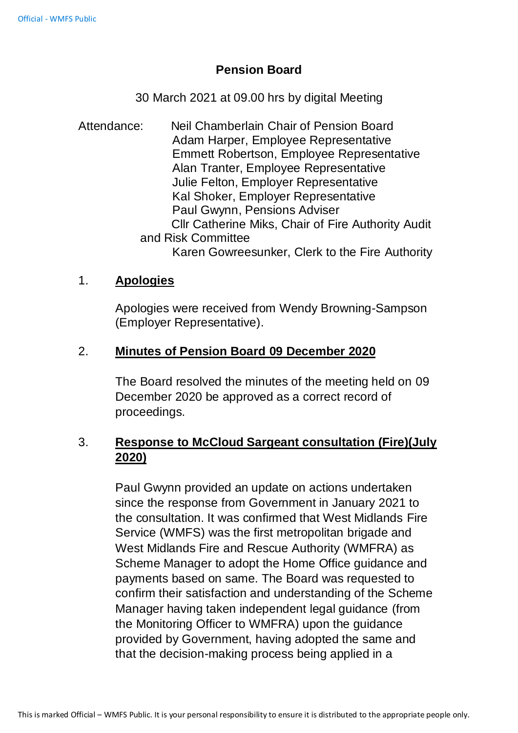## **Pension Board**

30 March 2021 at 09.00 hrs by digital Meeting

Attendance: Neil Chamberlain Chair of Pension Board Adam Harper, Employee Representative Emmett Robertson, Employee Representative Alan Tranter, Employee Representative Julie Felton, Employer Representative Kal Shoker, Employer Representative Paul Gwynn, Pensions Adviser Cllr Catherine Miks, Chair of Fire Authority Audit and Risk Committee Karen Gowreesunker, Clerk to the Fire Authority

## 1. **Apologies**

Apologies were received from Wendy Browning-Sampson (Employer Representative).

## 2. **Minutes of Pension Board 09 December 2020**

The Board resolved the minutes of the meeting held on 09 December 2020 be approved as a correct record of proceedings.

# 3. **Response to McCloud Sargeant consultation (Fire)(July 2020)**

Paul Gwynn provided an update on actions undertaken since the response from Government in January 2021 to the consultation. It was confirmed that West Midlands Fire Service (WMFS) was the first metropolitan brigade and West Midlands Fire and Rescue Authority (WMFRA) as Scheme Manager to adopt the Home Office guidance and payments based on same. The Board was requested to confirm their satisfaction and understanding of the Scheme Manager having taken independent legal guidance (from the Monitoring Officer to WMFRA) upon the guidance provided by Government, having adopted the same and that the decision-making process being applied in a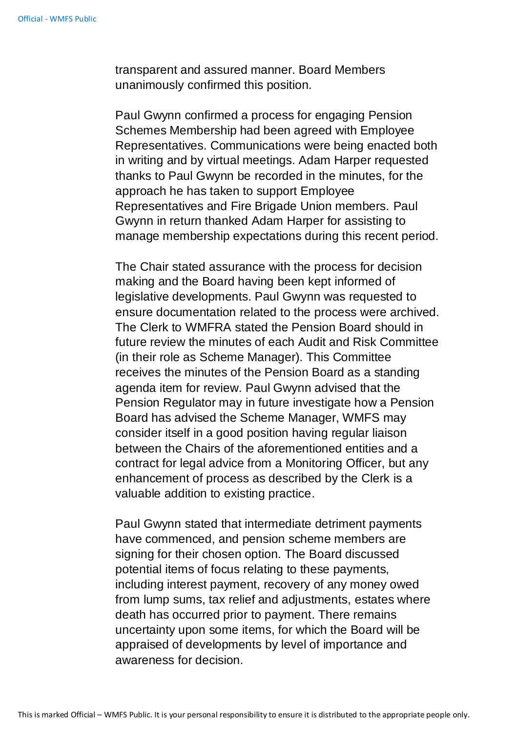transparent and assured manner. Board Members unanimously confirmed this position.

Paul Gwynn confirmed a process for engaging Pension Schemes Membership had been agreed with Employee Representatives. Communications were being enacted both in writing and by virtual meetings. Adam Harper requested thanks to Paul Gwynn be recorded in the minutes, for the approach he has taken to support Employee Representatives and Fire Brigade Union members. Paul Gwynn in return thanked Adam Harper for assisting to manage membership expectations during this recent period.

The Chair stated assurance with the process for decision making and the Board having been kept informed of legislative developments. Paul Gwynn was requested to ensure documentation related to the process were archived. The Clerk to WMFRA stated the Pension Board should in future review the minutes of each Audit and Risk Committee (in their role as Scheme Manager). This Committee receives the minutes of the Pension Board as a standing agenda item for review. Paul Gwynn advised that the Pension Regulator may in future investigate how a Pension Board has advised the Scheme Manager, WMFS may consider itself in a good position having regular liaison between the Chairs of the aforementioned entities and a contract for legal advice from a Monitoring Officer, but any enhancement of process as described by the Clerk is a valuable addition to existing practice.

Paul Gwynn stated that intermediate detriment payments have commenced, and pension scheme members are signing for their chosen option. The Board discussed potential items of focus relating to these payments, including interest payment, recovery of any money owed from lump sums, tax relief and adjustments, estates where death has occurred prior to payment. There remains uncertainty upon some items, for which the Board will be appraised of developments by level of importance and awareness for decision.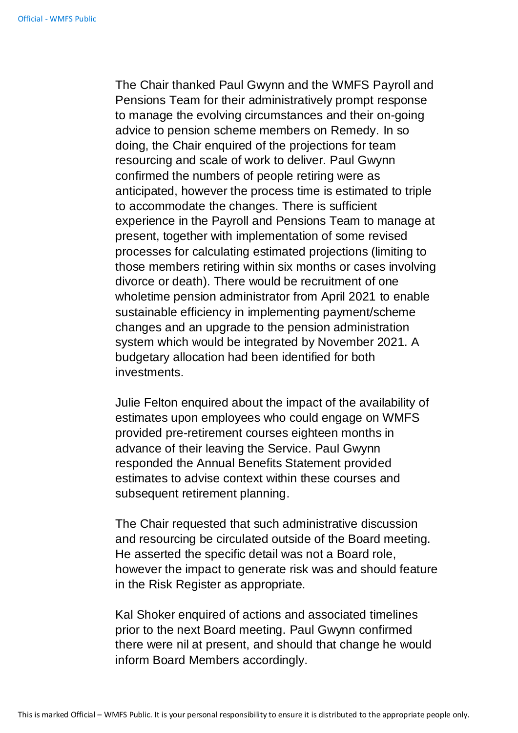The Chair thanked Paul Gwynn and the WMFS Payroll and Pensions Team for their administratively prompt response to manage the evolving circumstances and their on-going advice to pension scheme members on Remedy. In so doing, the Chair enquired of the projections for team resourcing and scale of work to deliver. Paul Gwynn confirmed the numbers of people retiring were as anticipated, however the process time is estimated to triple to accommodate the changes. There is sufficient experience in the Payroll and Pensions Team to manage at present, together with implementation of some revised processes for calculating estimated projections (limiting to those members retiring within six months or cases involving divorce or death). There would be recruitment of one wholetime pension administrator from April 2021 to enable sustainable efficiency in implementing payment/scheme changes and an upgrade to the pension administration system which would be integrated by November 2021. A budgetary allocation had been identified for both investments.

Julie Felton enquired about the impact of the availability of estimates upon employees who could engage on WMFS provided pre-retirement courses eighteen months in advance of their leaving the Service. Paul Gwynn responded the Annual Benefits Statement provided estimates to advise context within these courses and subsequent retirement planning.

The Chair requested that such administrative discussion and resourcing be circulated outside of the Board meeting. He asserted the specific detail was not a Board role, however the impact to generate risk was and should feature in the Risk Register as appropriate.

Kal Shoker enquired of actions and associated timelines prior to the next Board meeting. Paul Gwynn confirmed there were nil at present, and should that change he would inform Board Members accordingly.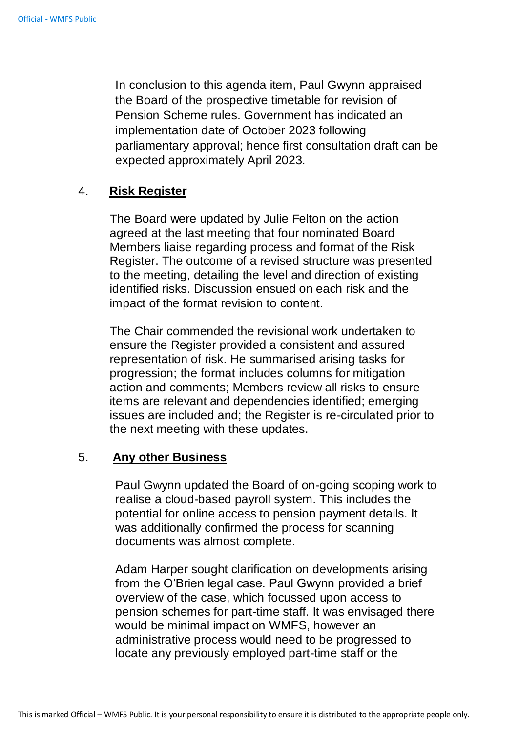In conclusion to this agenda item, Paul Gwynn appraised the Board of the prospective timetable for revision of Pension Scheme rules. Government has indicated an implementation date of October 2023 following parliamentary approval; hence first consultation draft can be expected approximately April 2023.

### 4. **Risk Register**

The Board were updated by Julie Felton on the action agreed at the last meeting that four nominated Board Members liaise regarding process and format of the Risk Register. The outcome of a revised structure was presented to the meeting, detailing the level and direction of existing identified risks. Discussion ensued on each risk and the impact of the format revision to content.

The Chair commended the revisional work undertaken to ensure the Register provided a consistent and assured representation of risk. He summarised arising tasks for progression; the format includes columns for mitigation action and comments; Members review all risks to ensure items are relevant and dependencies identified; emerging issues are included and; the Register is re-circulated prior to the next meeting with these updates.

#### 5. **Any other Business**

Paul Gwynn updated the Board of on-going scoping work to realise a cloud-based payroll system. This includes the potential for online access to pension payment details. It was additionally confirmed the process for scanning documents was almost complete.

Adam Harper sought clarification on developments arising from the O'Brien legal case. Paul Gwynn provided a brief overview of the case, which focussed upon access to pension schemes for part-time staff. It was envisaged there would be minimal impact on WMFS, however an administrative process would need to be progressed to locate any previously employed part-time staff or the